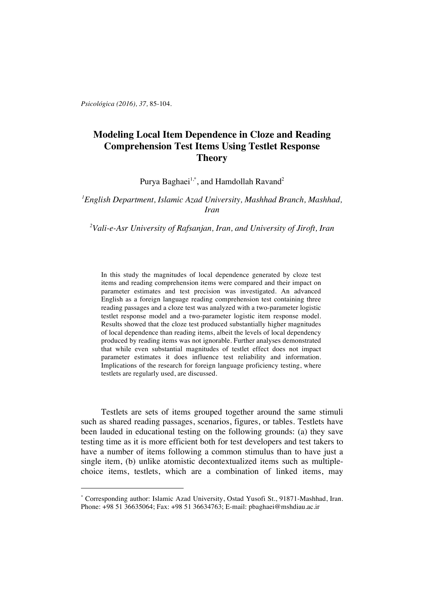*Psicológica (2016), 37,* 85-104.

 $\overline{a}$ 

# **Modeling Local Item Dependence in Cloze and Reading Comprehension Test Items Using Testlet Response Theory**

Purya Baghaei $^{1,*}$ , and Hamdollah Ravand $^2$ 

## *1 English Department, Islamic Azad University, Mashhad Branch, Mashhad, Iran*

## *2 Vali-e-Asr University of Rafsanjan, Iran, and University of Jiroft, Iran*

In this study the magnitudes of local dependence generated by cloze test items and reading comprehension items were compared and their impact on parameter estimates and test precision was investigated. An advanced English as a foreign language reading comprehension test containing three reading passages and a cloze test was analyzed with a two-parameter logistic testlet response model and a two-parameter logistic item response model. Results showed that the cloze test produced substantially higher magnitudes of local dependence than reading items, albeit the levels of local dependency produced by reading items was not ignorable. Further analyses demonstrated that while even substantial magnitudes of testlet effect does not impact parameter estimates it does influence test reliability and information. Implications of the research for foreign language proficiency testing, where testlets are regularly used, are discussed.

Testlets are sets of items grouped together around the same stimuli such as shared reading passages, scenarios, figures, or tables. Testlets have been lauded in educational testing on the following grounds: (a) they save testing time as it is more efficient both for test developers and test takers to have a number of items following a common stimulus than to have just a single item, (b) unlike atomistic decontextualized items such as multiplechoice items, testlets, which are a combination of linked items, may

<sup>\*</sup> Corresponding author: Islamic Azad University, Ostad Yusofi St., 91871-Mashhad, Iran. Phone: +98 51 36635064; Fax: +98 51 36634763; E-mail: pbaghaei@mshdiau.ac.ir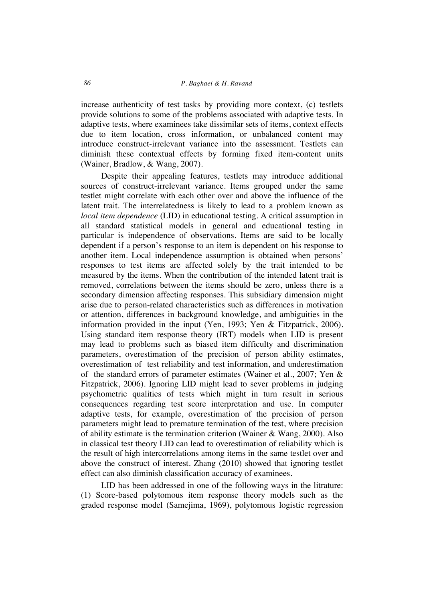increase authenticity of test tasks by providing more context, (c) testlets provide solutions to some of the problems associated with adaptive tests. In adaptive tests, where examinees take dissimilar sets of items, context effects due to item location, cross information, or unbalanced content may introduce construct-irrelevant variance into the assessment. Testlets can diminish these contextual effects by forming fixed item-content units (Wainer, Bradlow, & Wang, 2007).

Despite their appealing features, testlets may introduce additional sources of construct-irrelevant variance. Items grouped under the same testlet might correlate with each other over and above the influence of the latent trait. The interrelatedness is likely to lead to a problem known as *local item dependence* (LID) in educational testing. A critical assumption in all standard statistical models in general and educational testing in particular is independence of observations. Items are said to be locally dependent if a person's response to an item is dependent on his response to another item. Local independence assumption is obtained when persons' responses to test items are affected solely by the trait intended to be measured by the items. When the contribution of the intended latent trait is removed, correlations between the items should be zero, unless there is a secondary dimension affecting responses. This subsidiary dimension might arise due to person-related characteristics such as differences in motivation or attention, differences in background knowledge, and ambiguities in the information provided in the input (Yen, 1993; Yen & Fitzpatrick, 2006). Using standard item response theory (IRT) models when LID is present may lead to problems such as biased item difficulty and discrimination parameters, overestimation of the precision of person ability estimates, overestimation of test reliability and test information, and underestimation of the standard errors of parameter estimates (Wainer et al., 2007; Yen & Fitzpatrick, 2006). Ignoring LID might lead to sever problems in judging psychometric qualities of tests which might in turn result in serious consequences regarding test score interpretation and use. In computer adaptive tests, for example, overestimation of the precision of person parameters might lead to premature termination of the test, where precision of ability estimate is the termination criterion (Wainer & Wang, 2000). Also in classical test theory LID can lead to overestimation of reliability which is the result of high intercorrelations among items in the same testlet over and above the construct of interest. Zhang (2010) showed that ignoring testlet effect can also diminish classification accuracy of examinees.

LID has been addressed in one of the following ways in the litrature: (1) Score-based polytomous item response theory models such as the graded response model (Samejima, 1969), polytomous logistic regression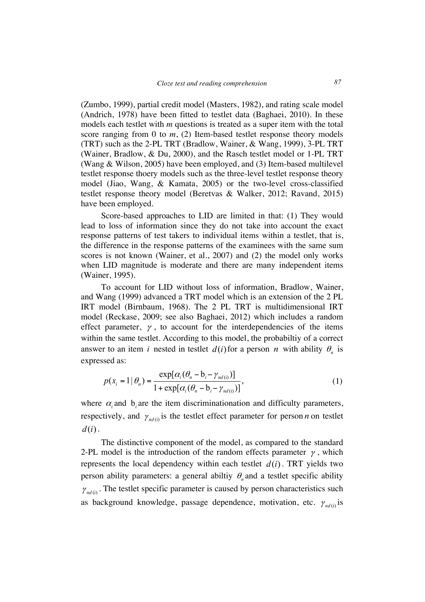(Zumbo, 1999), partial credit model (Masters, 1982), and rating scale model (Andrich, 1978) have been fitted to testlet data (Baghaei, 2010). In these models each testlet with *m* questions is treated as a super item with the total score ranging from 0 to *m*, (2) Item-based testlet response theory models (TRT) such as the 2-PL TRT (Bradlow, Wainer, & Wang, 1999), 3-PL TRT (Wainer, Bradlow, & Du, 2000), and the Rasch testlet model or 1-PL TRT (Wang & Wilson, 2005) have been employed, and (3) Item-based multilevel testlet response thoery models such as the three-level testlet response theory model (Jiao, Wang, & Kamata, 2005) or the two-level cross-classified testlet response theory model (Beretvas & Walker, 2012; Ravand, 2015) have been employed.

Score-based approaches to LID are limited in that: (1) They would lead to loss of information since they do not take into account the exact response patterns of test takers to individual items within a testlet, that is, the difference in the response patterns of the examinees with the same sum scores is not known (Wainer, et al., 2007) and (2) the model only works when LID magnitude is moderate and there are many independent items (Wainer, 1995).

To account for LID without loss of information, Bradlow, Wainer, and Wang (1999) advanced a TRT model which is an extension of the 2 PL IRT model (Birnbaum, 1968). The 2 PL TRT is multidimensional IRT model (Reckase, 2009; see also Baghaei, 2012) which includes a random effect parameter,  $\gamma$ , to account for the interdependencies of the items within the same testlet. According to this model, the probabiltiy of a correct answer to an item *i* nested in testlet  $d(i)$  for a person *n* with ability  $\theta_n$  is expressed as:

$$
p(x_i = 1 | \theta_n) = \frac{\exp[\alpha_i(\theta_n - b_i - \gamma_{nd(i)})]}{1 + \exp[\alpha_i(\theta_n - b_i - \gamma_{nd(i)})]},
$$
\n(1)

where  $\alpha_i$  and  $\beta_i$  are the item discriminationation and difficulty parameters, respectively, and  $\gamma_{nd(i)}$  is the testlet effect parameter for person *n* on testlet  $d(i)$ .

The distinctive component of the model, as compared to the standard 2-PL model is the introduction of the random effects parameter  $\gamma$ , which represents the local dependency within each testlet  $d(i)$ . TRT yields two person ability parameters: a general ability  $\theta_n$  and a testlet specific ability  $\gamma_{nd(i)}$ . The testlet specific parameter is caused by person characteristics such as background knowledge, passage dependence, motivation, etc.  $\gamma_{nd(i)}$  is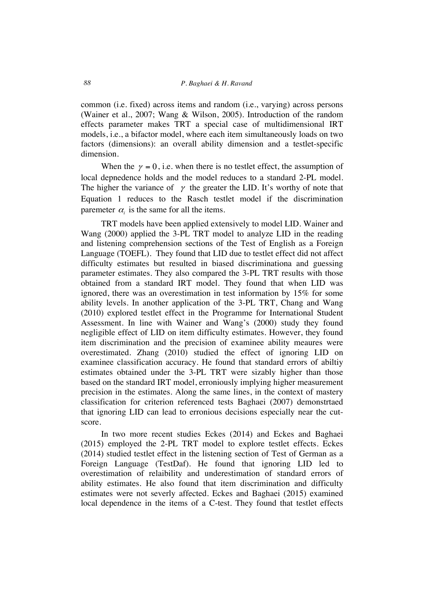common (i.e. fixed) across items and random (i.e., varying) across persons (Wainer et al., 2007; Wang & Wilson, 2005). Introduction of the random effects parameter makes TRT a special case of multidimensional IRT models, i.e., a bifactor model, where each item simultaneously loads on two factors (dimensions): an overall ability dimension and a testlet-specific dimension.

When the  $\gamma = 0$ , i.e. when there is no testlet effect, the assumption of local depnedence holds and the model reduces to a standard 2-PL model. The higher the variance of  $\gamma$  the greater the LID. It's worthy of note that Equation 1 reduces to the Rasch testlet model if the discrimination paremeter  $\alpha_i$  is the same for all the items.

TRT models have been applied extensively to model LID. Wainer and Wang (2000) applied the 3-PL TRT model to analyze LID in the reading and listening comprehension sections of the Test of English as a Foreign Language (TOEFL). They found that LID due to testlet effect did not affect difficulty estimates but resulted in biased discriminationa and guessing parameter estimates. They also compared the 3-PL TRT results with those obtained from a standard IRT model. They found that when LID was ignored, there was an overestimation in test information by 15% for some ability levels. In another application of the 3-PL TRT, Chang and Wang (2010) explored testlet effect in the Programme for International Student Assessment. In line with Wainer and Wang's (2000) study they found negligible effect of LID on item difficulty estimates. However, they found item discrimination and the precision of examinee ability meaures were overestimated. Zhang (2010) studied the effect of ignoring LID on examinee classification accuracy. He found that standard errors of abiltiy estimates obtained under the 3-PL TRT were sizably higher than those based on the standard IRT model, erroniously implying higher measurement precision in the estimates. Along the same lines, in the context of mastery classification for criterion referenced tests Baghaei (2007) demonstrtaed that ignoring LID can lead to erronious decisions especially near the cutscore.

In two more recent studies Eckes (2014) and Eckes and Baghaei (2015) employed the 2-PL TRT model to explore testlet effects. Eckes (2014) studied testlet effect in the listening section of Test of German as a Foreign Language (TestDaf). He found that ignoring LID led to overestimation of relaibility and underestimation of standard errors of ability estimates. He also found that item discrimination and difficulty estimates were not severly affected. Eckes and Baghaei (2015) examined local dependence in the items of a C-test. They found that testlet effects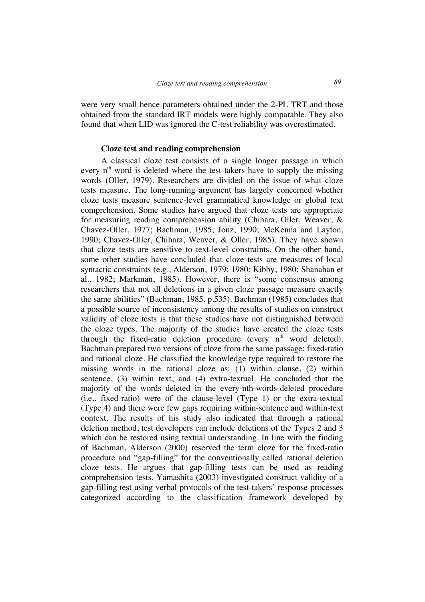were very small hence parameters obtained under the 2-PL TRT and those obtained from the standard IRT models were highly comparable. They also found that when LID was ignored the C-test reliability was overestimated.

### **Cloze test and reading comprehension**

A classical cloze test consists of a single longer passage in which every  $n<sup>th</sup>$  word is deleted where the test takers have to supply the missing words (Oller, 1979). Researchers are divided on the issue of what cloze tests measure. The long-running argument has largely concerned whether cloze tests measure sentence-level grammatical knowledge or global text comprehension. Some studies have argued that cloze tests are appropriate for measuring reading comprehension ability (Chihara, Oller, Weaver, & Chavez-Oller, 1977; Bachman, 1985; Jonz, 1990; McKenna and Layton, 1990; Chavez-Oller, Chihara, Weaver, & Oller, 1985). They have shown that cloze tests are sensitive to text-level constraints. On the other hand, some other studies have concluded that cloze tests are measures of local syntactic constraints (e.g., Alderson, 1979; 1980; Kibby, 1980; Shanahan et al., 1982; Markman, 1985). However, there is "some consensus among researchers that not all deletions in a given cloze passage measure exactly the same abilities" (Bachman, 1985, p.535). Bachman (1985) concludes that a possible source of inconsistency among the results of studies on construct validity of cloze tests is that these studies have not distinguished between the cloze types. The majority of the studies have created the cloze tests through the fixed-ratio deletion procedure (every  $n<sup>th</sup>$  word deleted). Bachman prepared two versions of cloze from the same passage: fixed-ratio and rational cloze. He classified the knowledge type required to restore the missing words in the rational cloze as: (1) within clause, (2) within sentence, (3) within text, and (4) extra-textual. He concluded that the majority of the words deleted in the every-nth-words-deleted procedure (i.e., fixed-ratio) were of the clause-level (Type 1) or the extra-textual (Type 4) and there were few gaps requiring within-sentence and within-text context. The results of his study also indicated that through a rational deletion method, test developers can include deletions of the Types 2 and 3 which can be restored using textual understanding. In line with the finding of Bachman, Alderson (2000) reserved the term cloze for the fixed-ratio procedure and "gap-filling" for the conventionally called rational deletion cloze tests. He argues that gap-filling tests can be used as reading comprehension tests. Yamashita (2003) investigated construct validity of a gap-filling test using verbal protocols of the test-takers' response processes categorized according to the classification framework developed by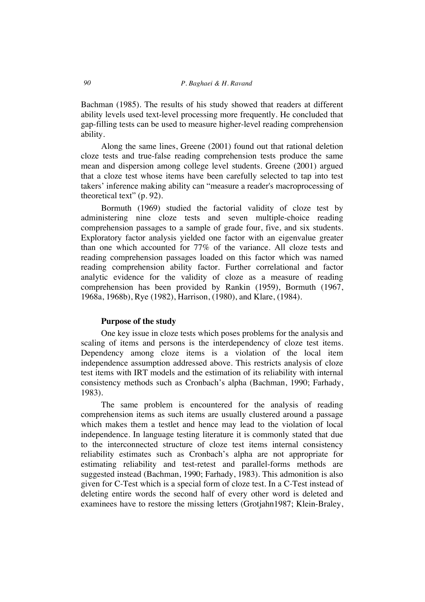Bachman (1985). The results of his study showed that readers at different ability levels used text-level processing more frequently. He concluded that gap-filling tests can be used to measure higher-level reading comprehension ability.

Along the same lines, Greene (2001) found out that rational deletion cloze tests and true-false reading comprehension tests produce the same mean and dispersion among college level students. Greene (2001) argued that a cloze test whose items have been carefully selected to tap into test takers' inference making ability can "measure a reader's macroprocessing of theoretical text" (p. 92).

Bormuth (1969) studied the factorial validity of cloze test by administering nine cloze tests and seven multiple-choice reading comprehension passages to a sample of grade four, five, and six students. Exploratory factor analysis yielded one factor with an eigenvalue greater than one which accounted for 77% of the variance. All cloze tests and reading comprehension passages loaded on this factor which was named reading comprehension ability factor. Further correlational and factor analytic evidence for the validity of cloze as a measure of reading comprehension has been provided by Rankin (1959), Bormuth (1967, 1968a, 1968b), Rye (1982), Harrison, (1980), and Klare, (1984).

#### **Purpose of the study**

One key issue in cloze tests which poses problems for the analysis and scaling of items and persons is the interdependency of cloze test items. Dependency among cloze items is a violation of the local item independence assumption addressed above. This restricts analysis of cloze test items with IRT models and the estimation of its reliability with internal consistency methods such as Cronbach's alpha (Bachman, 1990; Farhady, 1983).

The same problem is encountered for the analysis of reading comprehension items as such items are usually clustered around a passage which makes them a testlet and hence may lead to the violation of local independence. In language testing literature it is commonly stated that due to the interconnected structure of cloze test items internal consistency reliability estimates such as Cronbach's alpha are not appropriate for estimating reliability and test-retest and parallel-forms methods are suggested instead (Bachman, 1990; Farhady, 1983). This admonition is also given for C-Test which is a special form of cloze test. In a C-Test instead of deleting entire words the second half of every other word is deleted and examinees have to restore the missing letters (Grotjahn1987; Klein-Braley,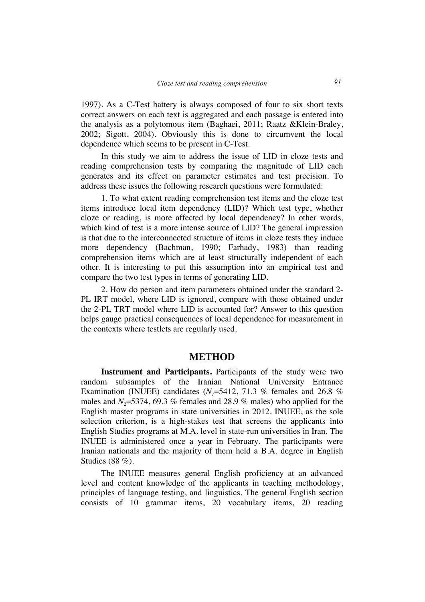1997). As a C-Test battery is always composed of four to six short texts correct answers on each text is aggregated and each passage is entered into the analysis as a polytomous item (Baghaei, 2011; Raatz &Klein-Braley, 2002; Sigott, 2004). Obviously this is done to circumvent the local dependence which seems to be present in C-Test.

In this study we aim to address the issue of LID in cloze tests and reading comprehension tests by comparing the magnitude of LID each generates and its effect on parameter estimates and test precision. To address these issues the following research questions were formulated:

1. To what extent reading comprehension test items and the cloze test items introduce local item dependency (LID)? Which test type, whether cloze or reading, is more affected by local dependency? In other words, which kind of test is a more intense source of LID? The general impression is that due to the interconnected structure of items in cloze tests they induce more dependency (Bachman, 1990; Farhady, 1983) than reading comprehension items which are at least structurally independent of each other. It is interesting to put this assumption into an empirical test and compare the two test types in terms of generating LID.

2. How do person and item parameters obtained under the standard 2- PL IRT model, where LID is ignored, compare with those obtained under the 2-PL TRT model where LID is accounted for? Answer to this question helps gauge practical consequences of local dependence for measurement in the contexts where testlets are regularly used.

### **METHOD**

**Instrument and Participants.** Participants of the study were two random subsamples of the Iranian National University Entrance Examination (INUEE) candidates  $(N<sub>1</sub>=5412, 71.3 %$  females and 26.8 % males and  $N_2$ =5374, 69.3 % females and 28.9 % males) who applied for the English master programs in state universities in 2012. INUEE, as the sole selection criterion, is a high-stakes test that screens the applicants into English Studies programs at M.A. level in state-run universities in Iran. The INUEE is administered once a year in February. The participants were Iranian nationals and the majority of them held a B.A. degree in English Studies (88 %).

The INUEE measures general English proficiency at an advanced level and content knowledge of the applicants in teaching methodology, principles of language testing, and linguistics. The general English section consists of 10 grammar items, 20 vocabulary items, 20 reading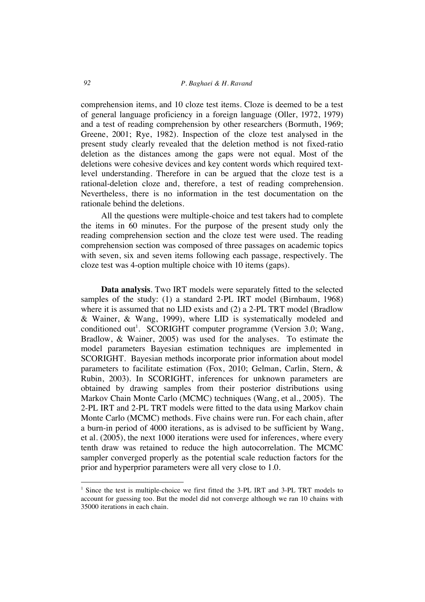comprehension items, and 10 cloze test items. Cloze is deemed to be a test of general language proficiency in a foreign language (Oller, 1972, 1979) and a test of reading comprehension by other researchers (Bormuth, 1969; Greene, 2001; Rye, 1982). Inspection of the cloze test analysed in the present study clearly revealed that the deletion method is not fixed-ratio deletion as the distances among the gaps were not equal. Most of the deletions were cohesive devices and key content words which required textlevel understanding. Therefore in can be argued that the cloze test is a rational-deletion cloze and, therefore, a test of reading comprehension. Nevertheless, there is no information in the test documentation on the rationale behind the deletions.

All the questions were multiple-choice and test takers had to complete the items in 60 minutes. For the purpose of the present study only the reading comprehension section and the cloze test were used. The reading comprehension section was composed of three passages on academic topics with seven, six and seven items following each passage, respectively. The cloze test was 4-option multiple choice with 10 items (gaps).

**Data analysis**. Two IRT models were separately fitted to the selected samples of the study: (1) a standard 2-PL IRT model (Birnbaum, 1968) where it is assumed that no LID exists and (2) a 2-PL TRT model (Bradlow & Wainer, & Wang, 1999), where LID is systematically modeled and conditioned out<sup>1</sup>. SCORIGHT computer programme (Version 3.0; Wang, Bradlow, & Wainer, 2005) was used for the analyses. To estimate the model parameters Bayesian estimation techniques are implemented in SCORIGHT. Bayesian methods incorporate prior information about model parameters to facilitate estimation (Fox, 2010; Gelman, Carlin, Stern, & Rubin, 2003). In SCORIGHT, inferences for unknown parameters are obtained by drawing samples from their posterior distributions using Markov Chain Monte Carlo (MCMC) techniques (Wang, et al., 2005). The 2-PL IRT and 2-PL TRT models were fitted to the data using Markov chain Monte Carlo (MCMC) methods. Five chains were run. For each chain, after a burn-in period of 4000 iterations, as is advised to be sufficient by Wang, et al. (2005), the next 1000 iterations were used for inferences, where every tenth draw was retained to reduce the high autocorrelation. The MCMC sampler converged properly as the potential scale reduction factors for the prior and hyperprior parameters were all very close to 1.0.

 $\overline{a}$ 

<sup>&</sup>lt;sup>1</sup> Since the test is multiple-choice we first fitted the 3-PL IRT and 3-PL TRT models to account for guessing too. But the model did not converge although we ran 10 chains with 35000 iterations in each chain.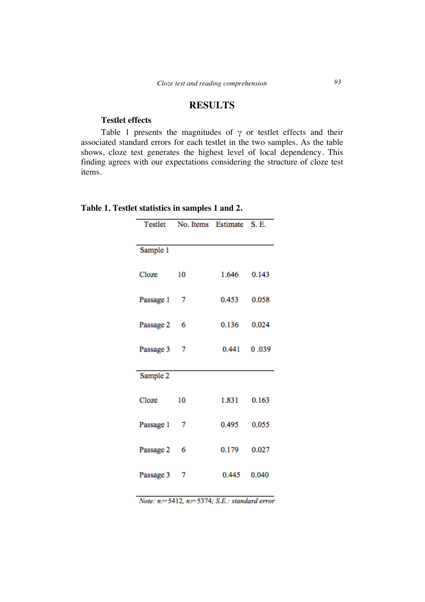## **RESULTS**

### **Testlet effects**

Table 1 presents the magnitudes of  $\gamma$  or testlet effects and their associated standard errors for each testlet in the two samples. As the table shows, cloze test generates the highest level of local dependency. This finding agrees with our expectations considering the structure of cloze test items.

|             | Testlet No. Items Estimate S. E. |             |  |  |
|-------------|----------------------------------|-------------|--|--|
|             |                                  |             |  |  |
| Sample 1    |                                  |             |  |  |
| Cloze       | 10                               | 1.646 0.143 |  |  |
| Passage 1 7 |                                  | 0.453 0.058 |  |  |
| Passage 2 6 |                                  | 0.136 0.024 |  |  |
| Passage 3 7 |                                  | 0.441 0.039 |  |  |
| Sample 2    |                                  |             |  |  |
|             |                                  |             |  |  |
| Cloze       | 10                               | 1.831 0.163 |  |  |
| Passage 1 7 |                                  | 0.495 0.055 |  |  |
| Passage 2 6 |                                  | 0.179 0.027 |  |  |
| Passage 3 7 |                                  | 0.445 0.040 |  |  |

|  | Table 1. Testlet statistics in samples 1 and 2. |  |  |
|--|-------------------------------------------------|--|--|
|  |                                                 |  |  |

Note: n=5412, n=5374; S.E.: standard error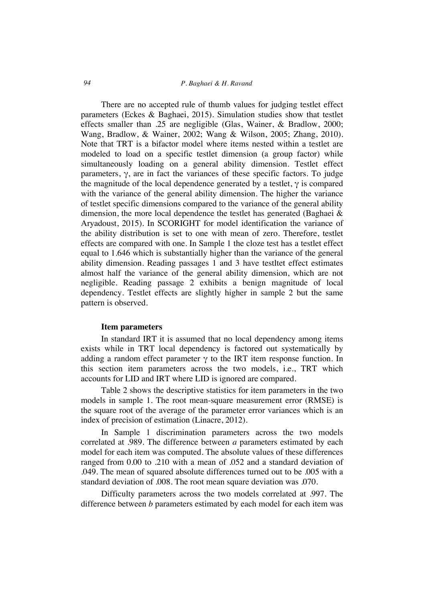### *94 P. Baghaei & H. Ravand*

There are no accepted rule of thumb values for judging testlet effect parameters (Eckes & Baghaei, 2015). Simulation studies show that testlet effects smaller than .25 are negligible (Glas, Wainer, & Bradlow, 2000; Wang, Bradlow, & Wainer, 2002; Wang & Wilson, 2005; Zhang, 2010). Note that TRT is a bifactor model where items nested within a testlet are modeled to load on a specific testlet dimension (a group factor) while simultaneously loading on a general ability dimension. Testlet effect parameters, γ, are in fact the variances of these specific factors. To judge the magnitude of the local dependence generated by a testlet,  $\gamma$  is compared with the variance of the general ability dimension. The higher the variance of testlet specific dimensions compared to the variance of the general ability dimension, the more local dependence the testlet has generated (Baghaei & Aryadoust, 2015). In SCORIGHT for model identification the variance of the ability distribution is set to one with mean of zero. Therefore, testlet effects are compared with one. In Sample 1 the cloze test has a testlet effect equal to 1.646 which is substantially higher than the variance of the general ability dimension. Reading passages 1 and 3 have testltet effect estimates almost half the variance of the general ability dimension, which are not negligible. Reading passage 2 exhibits a benign magnitude of local dependency. Testlet effects are slightly higher in sample 2 but the same pattern is observed.

#### **Item parameters**

In standard IRT it is assumed that no local dependency among items exists while in TRT local dependency is factored out systematically by adding a random effect parameter  $\gamma$  to the IRT item response function. In this section item parameters across the two models, i.e., TRT which accounts for LID and IRT where LID is ignored are compared.

Table 2 shows the descriptive statistics for item parameters in the two models in sample 1. The root mean-square measurement error (RMSE) is the square root of the average of the parameter error variances which is an index of precision of estimation (Linacre, 2012).

In Sample 1 discrimination parameters across the two models correlated at .989. The difference between *a* parameters estimated by each model for each item was computed. The absolute values of these differences ranged from 0.00 to .210 with a mean of .052 and a standard deviation of .049. The mean of squared absolute differences turned out to be .005 with a standard deviation of .008. The root mean square deviation was .070.

Difficulty parameters across the two models correlated at .997. The difference between *b* parameters estimated by each model for each item was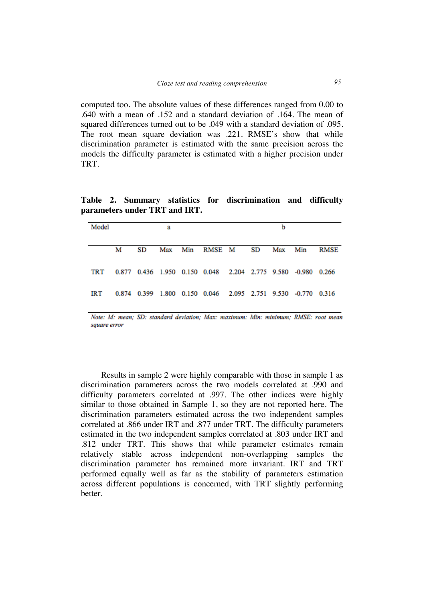computed too. The absolute values of these differences ranged from 0.00 to .640 with a mean of .152 and a standard deviation of .164. The mean of squared differences turned out to be .049 with a standard deviation of .095. The root mean square deviation was .221. RMSE's show that while discrimination parameter is estimated with the same precision across the models the difficulty parameter is estimated with a higher precision under TRT.

**Table 2. Summary statistics for discrimination and difficulty parameters under TRT and IRT.**

| Model |   |    | а |                                                              |    | b       |             |
|-------|---|----|---|--------------------------------------------------------------|----|---------|-------------|
|       | М | SD |   | Max Min RMSE M                                               | SD | Max Min | <b>RMSE</b> |
| TRT   |   |    |   | 0.877 0.436 1.950 0.150 0.048 2.204 2.775 9.580 -0.980 0.266 |    |         |             |
| IRT   |   |    |   | 0.874 0.399 1.800 0.150 0.046 2.095 2.751 9.530 -0.770 0.316 |    |         |             |

Note: M: mean; SD: standard deviation; Max: maximum: Min: minimum; RMSE: root mean square error

Results in sample 2 were highly comparable with those in sample 1 as discrimination parameters across the two models correlated at .990 and difficulty parameters correlated at .997. The other indices were highly similar to those obtained in Sample 1, so they are not reported here. The discrimination parameters estimated across the two independent samples correlated at .866 under IRT and .877 under TRT. The difficulty parameters estimated in the two independent samples correlated at .803 under IRT and .812 under TRT. This shows that while parameter estimates remain relatively stable across independent non-overlapping samples the discrimination parameter has remained more invariant. IRT and TRT performed equally well as far as the stability of parameters estimation across different populations is concerned, with TRT slightly performing better.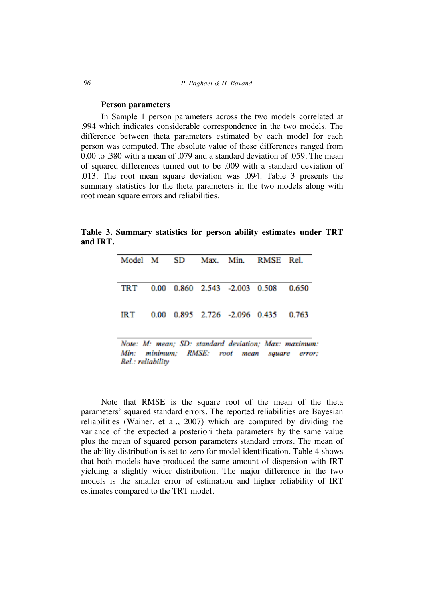#### *96 P. Baghaei & H. Ravand*

#### **Person parameters**

Rel.: reliability

In Sample 1 person parameters across the two models correlated at .994 which indicates considerable correspondence in the two models. The difference between theta parameters estimated by each model for each person was computed. The absolute value of these differences ranged from 0.00 to .380 with a mean of .079 and a standard deviation of .059. The mean of squared differences turned out to be .009 with a standard deviation of .013. The root mean square deviation was .094. Table 3 presents the summary statistics for the theta parameters in the two models along with root mean square errors and reliabilities.

**Table 3. Summary statistics for person ability estimates under TRT and IRT.**

|                                             |  |  |  |  | Model M SD Max. Min. RMSE Rel. |                                                      |
|---------------------------------------------|--|--|--|--|--------------------------------|------------------------------------------------------|
|                                             |  |  |  |  |                                |                                                      |
| TRT                                         |  |  |  |  | 0.00 0.860 2.543 -2.003 0.508  | 0.650                                                |
|                                             |  |  |  |  |                                |                                                      |
| IRT                                         |  |  |  |  | 0.00 0.895 2.726 -2.096 0.435  | 0.763                                                |
|                                             |  |  |  |  |                                |                                                      |
|                                             |  |  |  |  |                                | Note: M: mean; SD: standard deviation; Max: maximum: |
| Min: minimum; RMSE: root mean square error; |  |  |  |  |                                |                                                      |

Note that RMSE is the square root of the mean of the theta parameters' squared standard errors. The reported reliabilities are Bayesian reliabilities (Wainer, et al., 2007) which are computed by dividing the variance of the expected a posteriori theta parameters by the same value plus the mean of squared person parameters standard errors. The mean of

the ability distribution is set to zero for model identification. Table 4 shows that both models have produced the same amount of dispersion with IRT yielding a slightly wider distribution. The major difference in the two models is the smaller error of estimation and higher reliability of IRT estimates compared to the TRT model.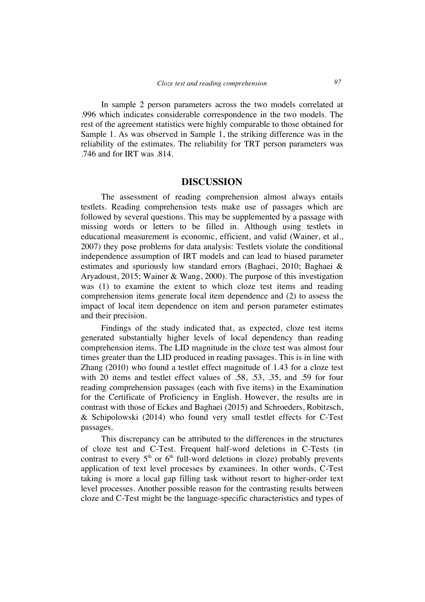In sample 2 person parameters across the two models correlated at .996 which indicates considerable correspondence in the two models. The rest of the agreement statistics were highly comparable to those obtained for Sample 1. As was observed in Sample 1, the striking difference was in the reliability of the estimates. The reliability for TRT person parameters was .746 and for IRT was .814.

### **DISCUSSION**

The assessment of reading comprehension almost always entails testlets. Reading comprehension tests make use of passages which are followed by several questions. This may be supplemented by a passage with missing words or letters to be filled in. Although using testlets in educational measurement is economic, efficient, and valid (Wainer, et al., 2007) they pose problems for data analysis: Testlets violate the conditional independence assumption of IRT models and can lead to biased parameter estimates and spuriously low standard errors (Baghaei, 2010; Baghaei & Aryadoust, 2015; Wainer & Wang, 2000). The purpose of this investigation was (1) to examine the extent to which cloze test items and reading comprehension items generate local item dependence and (2) to assess the impact of local item dependence on item and person parameter estimates and their precision.

Findings of the study indicated that, as expected, cloze test items generated substantially higher levels of local dependency than reading comprehension items. The LID magnitude in the cloze test was almost four times greater than the LID produced in reading passages. This is in line with Zhang (2010) who found a testlet effect magnitude of 1.43 for a cloze test with 20 items and testlet effect values of .58, .53, .35, and .59 for four reading comprehension passages (each with five items) in the Examination for the Certificate of Proficiency in English. However, the results are in contrast with those of Eckes and Baghaei (2015) and Schroeders, Robitzsch, & Schipolowski (2014) who found very small testlet effects for C-Test passages.

This discrepancy can be attributed to the differences in the structures of cloze test and C-Test. Frequent half-word deletions in C-Tests (in contrast to every  $5<sup>th</sup>$  or  $6<sup>th</sup>$  full-word deletions in cloze) probably prevents application of text level processes by examinees. In other words, C-Test taking is more a local gap filling task without resort to higher-order text level processes. Another possible reason for the contrasting results between cloze and C-Test might be the language-specific characteristics and types of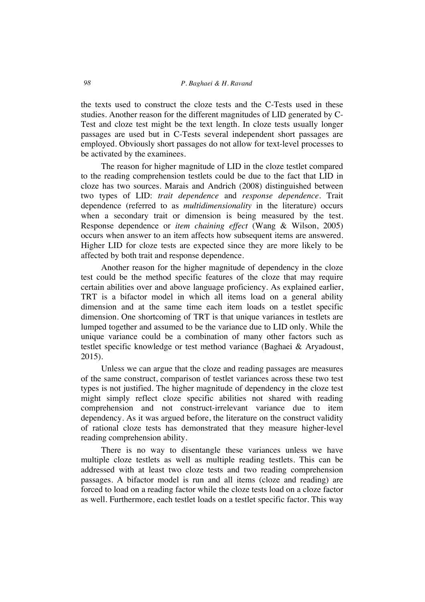the texts used to construct the cloze tests and the C-Tests used in these studies. Another reason for the different magnitudes of LID generated by C-Test and cloze test might be the text length. In cloze tests usually longer passages are used but in C-Tests several independent short passages are employed. Obviously short passages do not allow for text-level processes to be activated by the examinees.

The reason for higher magnitude of LID in the cloze testlet compared to the reading comprehension testlets could be due to the fact that LID in cloze has two sources. Marais and Andrich (2008) distinguished between two types of LID: *trait dependence* and *response dependence*. Trait dependence (referred to as *multidimensionality* in the literature) occurs when a secondary trait or dimension is being measured by the test. Response dependence or *item chaining effect* (Wang & Wilson, 2005) occurs when answer to an item affects how subsequent items are answered. Higher LID for cloze tests are expected since they are more likely to be affected by both trait and response dependence.

Another reason for the higher magnitude of dependency in the cloze test could be the method specific features of the cloze that may require certain abilities over and above language proficiency. As explained earlier, TRT is a bifactor model in which all items load on a general ability dimension and at the same time each item loads on a testlet specific dimension. One shortcoming of TRT is that unique variances in testlets are lumped together and assumed to be the variance due to LID only. While the unique variance could be a combination of many other factors such as testlet specific knowledge or test method variance (Baghaei & Aryadoust, 2015).

Unless we can argue that the cloze and reading passages are measures of the same construct, comparison of testlet variances across these two test types is not justified. The higher magnitude of dependency in the cloze test might simply reflect cloze specific abilities not shared with reading comprehension and not construct-irrelevant variance due to item dependency. As it was argued before, the literature on the construct validity of rational cloze tests has demonstrated that they measure higher-level reading comprehension ability.

There is no way to disentangle these variances unless we have multiple cloze testlets as well as multiple reading testlets. This can be addressed with at least two cloze tests and two reading comprehension passages. A bifactor model is run and all items (cloze and reading) are forced to load on a reading factor while the cloze tests load on a cloze factor as well. Furthermore, each testlet loads on a testlet specific factor. This way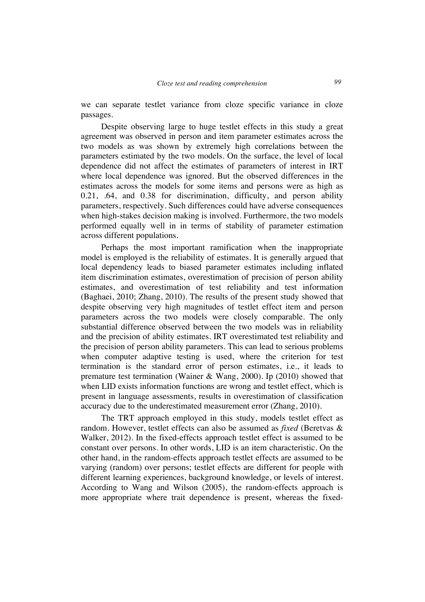we can separate testlet variance from cloze specific variance in cloze passages.

Despite observing large to huge testlet effects in this study a great agreement was observed in person and item parameter estimates across the two models as was shown by extremely high correlations between the parameters estimated by the two models. On the surface, the level of local dependence did not affect the estimates of parameters of interest in IRT where local dependence was ignored. But the observed differences in the estimates across the models for some items and persons were as high as 0.21, .64, and 0.38 for discrimination, difficulty, and person ability parameters, respectively. Such differences could have adverse consequences when high-stakes decision making is involved. Furthermore, the two models performed equally well in in terms of stability of parameter estimation across different populations.

Perhaps the most important ramification when the inappropriate model is employed is the reliability of estimates. It is generally argued that local dependency leads to biased parameter estimates including inflated item discrimination estimates, overestimation of precision of person ability estimates, and overestimation of test reliability and test information (Baghaei, 2010; Zhang, 2010). The results of the present study showed that despite observing very high magnitudes of testlet effect item and person parameters across the two models were closely comparable. The only substantial difference observed between the two models was in reliability and the precision of ability estimates. IRT overestimated test reliability and the precision of person ability parameters. This can lead to serious problems when computer adaptive testing is used, where the criterion for test termination is the standard error of person estimates, i.e., it leads to premature test termination (Wainer & Wang, 2000). Ip (2010) showed that when LID exists information functions are wrong and testlet effect, which is present in language assessments, results in overestimation of classification accuracy due to the underestimated measurement error (Zhang, 2010).

The TRT approach employed in this study, models testlet effect as random. However, testlet effects can also be assumed as *fixed* (Beretvas & Walker, 2012). In the fixed-effects approach testlet effect is assumed to be constant over persons. In other words, LID is an item characteristic. On the other hand, in the random-effects approach testlet effects are assumed to be varying (random) over persons; testlet effects are different for people with different learning experiences, background knowledge, or levels of interest. According to Wang and Wilson (2005), the random-effects approach is more appropriate where trait dependence is present, whereas the fixed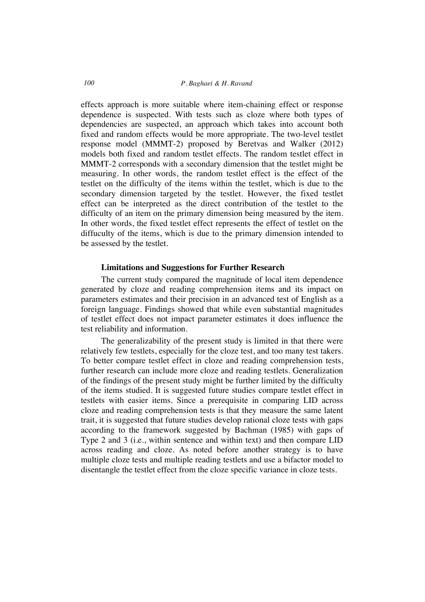effects approach is more suitable where item-chaining effect or response dependence is suspected. With tests such as cloze where both types of dependencies are suspected, an approach which takes into account both fixed and random effects would be more appropriate. The two-level testlet response model (MMMT-2) proposed by Beretvas and Walker (2012) models both fixed and random testlet effects. The random testlet effect in MMMT-2 corresponds with a secondary dimension that the testlet might be measuring. In other words, the random testlet effect is the effect of the testlet on the difficulty of the items within the testlet, which is due to the secondary dimension targeted by the testlet. However, the fixed testlet effect can be interpreted as the direct contribution of the testlet to the difficulty of an item on the primary dimension being measured by the item. In other words, the fixed testlet effect represents the effect of testlet on the diffuculty of the items, which is due to the primary dimension intended to be assessed by the testlet.

#### **Limitations and Suggestions for Further Research**

The current study compared the magnitude of local item dependence generated by cloze and reading comprehension items and its impact on parameters estimates and their precision in an advanced test of English as a foreign language. Findings showed that while even substantial magnitudes of testlet effect does not impact parameter estimates it does influence the test reliability and information.

The generalizability of the present study is limited in that there were relatively few testlets, especially for the cloze test, and too many test takers. To better compare testlet effect in cloze and reading comprehension tests, further research can include more cloze and reading testlets. Generalization of the findings of the present study might be further limited by the difficulty of the items studied. It is suggested future studies compare testlet effect in testlets with easier items. Since a prerequisite in comparing LID across cloze and reading comprehension tests is that they measure the same latent trait, it is suggested that future studies develop rational cloze tests with gaps according to the framework suggested by Bachman (1985) with gaps of Type 2 and 3 (i.e., within sentence and within text) and then compare LID across reading and cloze. As noted before another strategy is to have multiple cloze tests and multiple reading testlets and use a bifactor model to disentangle the testlet effect from the cloze specific variance in cloze tests.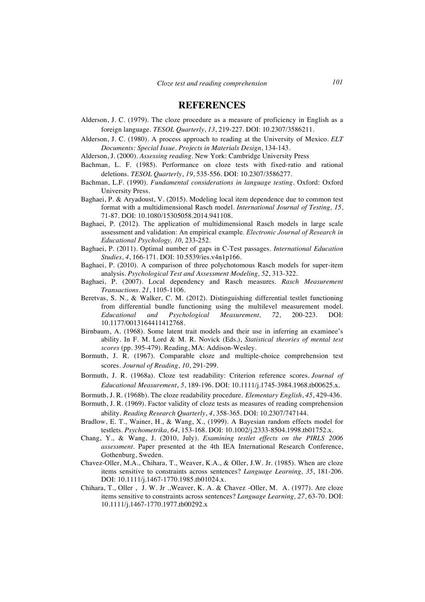### **REFERENCES**

- Alderson, J. C. (1979). The cloze procedure as a measure of proficiency in English as a foreign language. *TESOL Quarterly*, *13*, 219-227. DOI: 10.2307/3586211.
- Alderson, J. C. (1980). A process approach to reading at the University of Mexico. *ELT Documents: Special Issue. Projects in Materials Design*, 134-143.
- Alderson, J. (2000). *Assessing reading*. New York: Cambridge University Press
- Bachman, L. F. (1985). Performance on cloze tests with fixed-ratio and rational deletions. *TESOL Quarterly*, *19*, 535-556. DOI: 10.2307/3586277.
- Bachman, L.F. (1990). *Fundamental considerations in language testing*. Oxford: Oxford University Press.
- Baghaei, P. & Aryadoust, V. (2015). Modeling local item dependence due to common test format with a multidimensional Rasch model. *International Journal of Testing, 15*, 71-87. DOI: 10.1080/15305058.2014.941108.
- Baghaei, P. (2012). The application of multidimensional Rasch models in large scale assessment and validation: An empirical example. *Electronic Journal of Research in Educational Psychology, 10*, 233-252.
- Baghaei, P. (2011). Optimal number of gaps in C-Test passages. *International Education Studies*, *4*, 166-171. DOI: 10.5539/ies.v4n1p166.
- Baghaei, P. (2010). A comparison of three polychotomous Rasch models for super-item analysis. *Psychological Test and Assessment Modeling, 52*, 313-322.
- Baghaei, P. (2007). Local dependency and Rasch measures. *Rasch Measurement Transactions. 21*, 1105-1106.
- Beretvas, S. N., & Walker, C. M. (2012). Distinguishing differential testlet functioning from differential bundle functioning using the multilevel measurement model. *Educational and Psychological Measurement, 72*, 200-223. DOI: 10.1177/0013164411412768.
- Birnbaum, A. (1968). Some latent trait models and their use in inferring an examinee's ability. In F. M. Lord & M. R. Novick (Eds.), *Statistical theories of mental test scores* (pp. 395-479). Reading, MA: Addison-Wesley.
- Bormuth, J. R. (1967). Comparable cloze and multiple-choice comprehension test scores. *Journal of Reading*, *10*, 291-299.
- Bormuth, J. R. (1968a). Cloze test readability: Criterion reference scores. *Journal of Educational Measurement*, *5*, 189-196. DOI: 10.1111/j.1745-3984.1968.tb00625.x.
- Bormuth, J. R. (1968b). The cloze readability procedure. *Elementary English*, *45*, 429-436.
- Bormuth, J. R. (1969). Factor validity of cloze tests as measures of reading comprehension ability. *Reading Research Quarterly*, *4*, 358-365. DOI: 10.2307/747144.
- Bradlow, E. T., Wainer, H., & Wang, X., (1999). A Bayesian random effects model for testlets. *Psychometrika, 64*, 153-168. DOI: 10.1002/j.2333-8504.1998.tb01752.x.
- Chang, Y., & Wang, J. (2010, July). *Examining testlet effects on the PIRLS 2006 assessment*. Paper presented at the 4th IEA International Research Conference, Gothenburg, Sweden.
- Chavez-Oller, M.A., Chihara, T., Weaver, K.A., & Oller, J.W. Jr. (1985). When are cloze items sensitive to constraints across sentences? *Language Learning, 35*, 181-206. DOI: 10.1111/j.1467-1770.1985.tb01024.x.
- Chihara, T., Oller , J. W. Jr .,Weaver, K. A. & Chavez -Oller, M. A. (1977). Are cloze items sensitive to constraints across sentences? *Language Learning, 27*, 63-70. DOI: 10.1111/j.1467-1770.1977.tb00292.x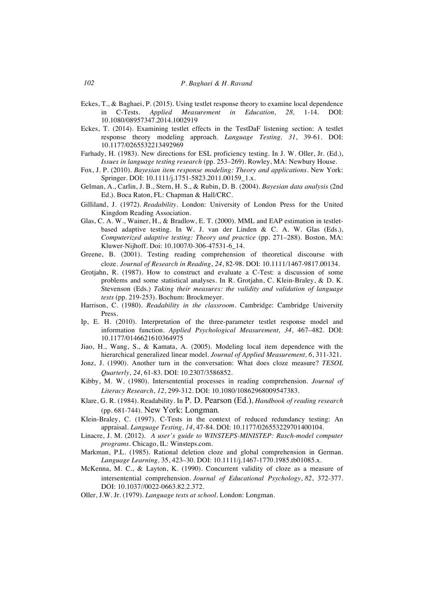- Eckes, T., & Baghaei, P. (2015). Using testlet response theory to examine local dependence in C-Tests. *Applied Measurement in Education, 28,* 1-14. DOI: 10.1080/08957347.2014.1002919
- Eckes, T. (2014). Examining testlet effects in the TestDaF listening section: A testlet response theory modeling approach. *Language Testing, 31*, 39-61. DOI: 10.1177/0265532213492969
- Farhady, H. (1983). New directions for ESL proficiency testing. In J. W. Oller, Jr. (Ed.), *Issues in language testing research* (pp. 253–269). Rowley, MA: Newbury House.
- Fox, J. P. (2010). *Bayesian item response modeling: Theory and applications*. New York: Springer. DOI: 10.1111/j.1751-5823.2011.00159\_1.x.
- Gelman, A., Carlin, J. B., Stern, H. S., & Rubin, D. B. (2004). *Bayesian data analysis* (2nd Ed.). Boca Raton, FL: Chapman & Hall/CRC.
- Gilliland, J. (1972). *Readability*. London: University of London Press for the United Kingdom Reading Association.
- Glas, C. A. W., Wainer, H., & Bradlow, E. T. (2000). MML and EAP estimation in testletbased adaptive testing. In W. J. van der Linden & C. A. W. Glas (Eds.), *Computerized adaptive testing: Theory and practice* (pp. 271–288). Boston, MA: Kluwer-Nijhoff. Doi: 10.1007/0-306-47531-6\_14.
- Greene, B. (2001). Testing reading comprehension of theoretical discourse with cloze. *Journal of Research in Reading*, *24*, 82-98. DOI: 10.1111/1467-9817.00134.
- Grotjahn, R. (1987). How to construct and evaluate a C-Test: a discussion of some problems and some statistical analyses. In R. Grotjahn, C. Klein-Braley, & D. K. Stevenson (Eds.) *Taking their measures: the validity and validation of language tests* (pp. 219-253). Bochum: Brockmeyer.
- Harrison, C. (1980). *Readability in the classroom*. Cambridge: Cambridge University Press.
- Ip, E. H. (2010). Interpretation of the three-parameter testlet response model and information function. *Applied Psychological Measurement, 34*, 467–482. DOI: 10.1177/0146621610364975
- Jiao, H., Wang, S., & Kamata, A. (2005). Modeling local item dependence with the hierarchical generalized linear model. *Journal of Applied Measurement, 6*, 311-321.
- Jonz, J. (1990). Another turn in the conversation: What does cloze measure? *TESOL Quarterly*, *24*, 61-83. DOI: 10.2307/3586852.
- Kibby, M. W. (1980). Intersentential processes in reading comprehension. *Journal of Literacy Research*, *12*, 299-312. DOI: 10.1080/10862968009547383.
- Klare, G. R. (1984). Readability. In P. D. Pearson (Ed.), *Handbook of reading research* (pp. 681-744). New York: Longman*.*
- Klein-Braley, C. (1997). C-Tests in the context of reduced redundancy testing: An appraisal. *Language Testing*, *14*, 47-84. DOI: 10.1177/026553229701400104.
- Linacre, J. M. (2012). *A user's guide to WINSTEPS-MINISTEP: Rasch-model computer programs.* Chicago, IL: Winsteps.com.
- Markman, P.L. (1985). Rational deletion cloze and global comprehension in German. *Language Learning,* 35, 423–30. DOI: 10.1111/j.1467-1770.1985.tb01085.x.
- McKenna, M. C., & Layton, K. (1990). Concurrent validity of cloze as a measure of intersentential comprehension. *Journal of Educational Psychology*, *82*, 372-377. DOI: 10.1037//0022-0663.82.2.372.
- Oller, J.W. Jr. (1979). *Language tests at school*. London: Longman.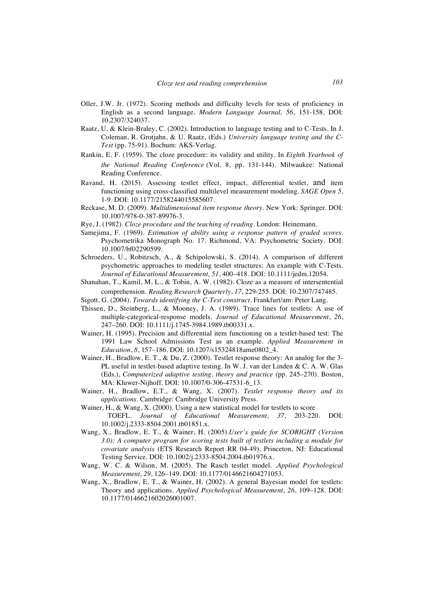- Oller, J.W. Jr. (1972). Scoring methods and difficulty levels for tests of proficiency in English as a second language. *Modern Language Journal, 56*, 151-158. DOI: 10.2307/324037.
- Raatz, U. & Klein-Braley, C. (2002). Introduction to language testing and to C-Tests. In J. Coleman, R. Grotjahn, & U. Raatz, (Eds.) *University language testing and the C-Test* (pp. 75-91). Bochum: AKS-Verlag.
- Rankin, E. F. (1959). The cloze procedure: its validity and utility. In *Eighth Yearbook of the National Reading Conference* (Vol. 8, pp. 131-144). Milwaukee: National Reading Conference.
- Ravand, H. (2015). Assessing testlet effect, impact, differential testlet, and item functioning using cross-classified multilevel measurement modeling. *SAGE Open 5*, 1-9. DOI: 10.1177/2158244015585607.
- Reckase, M. D. (2009). *Multidimensional item response theory*. New York: Springer. DOI: 10.1007/978-0-387-89976-3.
- Rye, J. (1982). *Cloze procedure and the teaching of reading*. London: Heinemann.
- Samejima, F. (1969). *Estimation of ability using a response pattern of graded scores*. Psychometrika Monograph No. 17. Richmond, VA: Psychometric Society. DOI: 10.1007/bf02290599.
- Schroeders, U., Robitzsch, A., & Schipolowski, S. (2014). A comparison of different psychometric approaches to modeling testlet structures: An example with C-Tests. *Journal of Educational Measurement, 51*, 400–418. DOI: 10.1111/jedm.12054.
- Shanahan, T., Kamil, M. L., & Tobin, A. W. (1982). Cloze as a measure of intersentential comprehension. *Reading Research Quarterly*, *17*, 229-255. DOI: 10.2307/747485.
- Sigott, G. (2004). *Towards identifying the C-Test construct*. Frankfurt/am: Peter Lang.
- Thissen, D., Steinberg, L., & Mooney, J. A. (1989). Trace lines for testlets: A use of multiple-categorical-response models. *Journal of Educational Measurement*, *26*, 247–260. DOI: 10.1111/j.1745-3984.1989.tb00331.x.
- Wainer, H. (1995). Precision and differential item functioning on a testlet-based test: The 1991 Law School Admissions Test as an example. *Applied Measurement in Education*, *8*, 157–186. DOI: 10.1207/s15324818ame0802\_4.
- Wainer, H., Bradlow, E. T., & Du, Z. (2000). Testlet response theory: An analog for the 3- PL useful in testlet-based adaptive testing. In W. J. van der Linden & C. A. W. Glas (Eds.), *Computerized adaptive testing, theory and practice* (pp. 245–270). Boston, MA: Kluwer-Nijhoff. DOI: 10.1007/0-306-47531-6\_13.
- Wainer, H., Bradlow, E.T., & Wang, X. (2007). *Testlet response theory and its applications.* Cambridge: Cambridge University Press.
- Wainer, H., & Wang, X. (2000). Using a new statistical model for testlets to score TOEFL. *Journal of Educational Measurement, 37*, 203-220. DOI: 10.1002/j.2333-8504.2001.tb01851.x.
- Wang, X., Bradlow, E. T., & Wainer, H. (2005).*User's guide for SCORIGHT (Version 3.0): A computer program for scoring tests built of testlets including a module for covariate analysis* (ETS Research Report RR 04-49). Princeton, NJ: Educational Testing Service. DOI: 10.1002/j.2333-8504.2004.tb01976.x.
- Wang, W. C. & Wilson, M. (2005). The Rasch testlet model. .*Applied Psychological Measurement, 29*, 126–149. DOI: 10.1177/0146621604271053.
- Wang, X., Bradlow, E. T., & Wainer, H. (2002). A general Bayesian model for testlets: Theory and applications. *Applied Psychological Measurement*, *26*, 109–128. DOI: 10.1177/0146621602026001007.